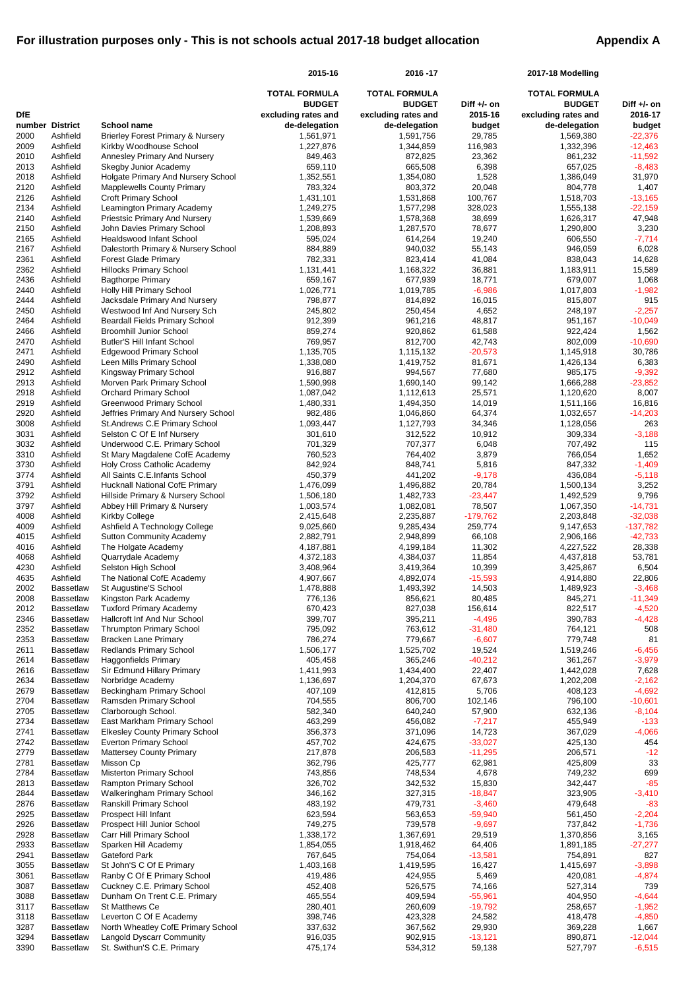|              |                                      |                                                                        | 2015-16                              | 2016-17                              |                        | 2017-18 Modelling                    |                         |
|--------------|--------------------------------------|------------------------------------------------------------------------|--------------------------------------|--------------------------------------|------------------------|--------------------------------------|-------------------------|
|              |                                      |                                                                        | <b>TOTAL FORMULA</b>                 | <b>TOTAL FORMULA</b>                 |                        | <b>TOTAL FORMULA</b>                 |                         |
| <b>DfE</b>   |                                      |                                                                        | <b>BUDGET</b><br>excluding rates and | <b>BUDGET</b><br>excluding rates and | Diff +/- on<br>2015-16 | <b>BUDGET</b><br>excluding rates and | Diff +/- on<br>2016-17  |
| number       | <b>District</b>                      | <b>School name</b>                                                     | de-delegation                        | de-delegation                        | budget                 | de-delegation                        | budget                  |
| 2000         | Ashfield                             | <b>Brierley Forest Primary &amp; Nursery</b>                           | 1,561,971                            | 1,591,756                            | 29,785                 | 1,569,380                            | $-22,376$               |
| 2009         | Ashfield<br>Ashfield                 | Kirkby Woodhouse School                                                | 1,227,876                            | 1,344,859                            | 116,983                | 1,332,396                            | $-12,463$               |
| 2010<br>2013 | Ashfield                             | <b>Annesley Primary And Nursery</b><br><b>Skegby Junior Academy</b>    | 849,463<br>659,110                   | 872,825<br>665,508                   | 23,362<br>6,398        | 861,232<br>657,025                   | $-11,592$<br>$-8,483$   |
| 2018         | Ashfield                             | Holgate Primary And Nursery School                                     | 1,352,551                            | 1,354,080                            | 1,528                  | 1,386,049                            | 31,970                  |
| 2120         | Ashfield                             | <b>Mapplewells County Primary</b>                                      | 783,324                              | 803,372                              | 20,048                 | 804,778                              | 1,407                   |
| 2126<br>2134 | Ashfield<br>Ashfield                 | <b>Croft Primary School</b><br>Leamington Primary Academy              | 1,431,101<br>1,249,275               | 1,531,868<br>1,577,298               | 100,767<br>328,023     | 1,518,703<br>1,555,138               | $-13,165$<br>$-22,159$  |
| 2140         | Ashfield                             | <b>Priestsic Primary And Nursery</b>                                   | 1,539,669                            | 1,578,368                            | 38,699                 | 1,626,317                            | 47,948                  |
| 2150         | Ashfield                             | John Davies Primary School                                             | 1,208,893                            | 1,287,570                            | 78,677                 | 1,290,800                            | 3,230                   |
| 2165         | Ashfield                             | <b>Healdswood Infant School</b>                                        | 595,024                              | 614,264                              | 19,240                 | 606,550                              | $-7,714$                |
| 2167<br>2361 | Ashfield<br>Ashfield                 | Dalestorth Primary & Nursery School<br><b>Forest Glade Primary</b>     | 884,889<br>782,331                   | 940,032<br>823,414                   | 55,143<br>41,084       | 946,059<br>838,043                   | 6,028<br>14,628         |
| 2362         | Ashfield                             | <b>Hillocks Primary School</b>                                         | 1,131,441                            | 1,168,322                            | 36,881                 | 1,183,911                            | 15,589                  |
| 2436         | Ashfield                             | <b>Bagthorpe Primary</b>                                               | 659,167                              | 677,939                              | 18,771                 | 679,007                              | 1,068                   |
| 2440         | Ashfield                             | <b>Holly Hill Primary School</b>                                       | 1,026,771                            | 1,019,785                            | $-6,986$               | 1,017,803                            | $-1,982$                |
| 2444<br>2450 | Ashfield<br>Ashfield                 | Jacksdale Primary And Nursery<br>Westwood Inf And Nursery Sch          | 798,877<br>245,802                   | 814,892<br>250,454                   | 16,015<br>4,652        | 815,807<br>248,197                   | 915<br>$-2,257$         |
| 2464         | Ashfield                             | <b>Beardall Fields Primary School</b>                                  | 912,399                              | 961,216                              | 48,817                 | 951,167                              | $-10,049$               |
| 2466         | Ashfield                             | <b>Broomhill Junior School</b>                                         | 859,274                              | 920,862                              | 61,588                 | 922,424                              | 1,562                   |
| 2470         | Ashfield                             | <b>Butler'S Hill Infant School</b>                                     | 769,957                              | 812,700                              | 42,743                 | 802,009                              | $-10,690$               |
| 2471<br>2490 | Ashfield<br>Ashfield                 | <b>Edgewood Primary School</b><br>Leen Mills Primary School            | 1,135,705<br>1,338,080               | 1,115,132<br>1,419,752               | $-20,573$<br>81,671    | 1,145,918<br>1,426,134               | 30,786<br>6,383         |
| 2912         | Ashfield                             | Kingsway Primary School                                                | 916,887                              | 994,567                              | 77,680                 | 985,175                              | $-9,392$                |
| 2913         | Ashfield                             | Morven Park Primary School                                             | 1,590,998                            | 1,690,140                            | 99,142                 | 1,666,288                            | $-23,852$               |
| 2918         | Ashfield                             | <b>Orchard Primary School</b>                                          | 1,087,042                            | 1,112,613                            | 25,571                 | 1,120,620                            | 8,007                   |
| 2919         | Ashfield                             | <b>Greenwood Primary School</b>                                        | 1,480,331                            | 1,494,350                            | 14,019                 | 1,511,166                            | 16,816                  |
| 2920<br>3008 | Ashfield<br>Ashfield                 | Jeffries Primary And Nursery School<br>St.Andrews C.E Primary School   | 982,486<br>1,093,447                 | 1,046,860<br>1,127,793               | 64,374<br>34,346       | 1,032,657<br>1,128,056               | $-14,203$<br>263        |
| 3031         | Ashfield                             | Selston C Of E Inf Nursery                                             | 301,610                              | 312,522                              | 10,912                 | 309,334                              | $-3,188$                |
| 3032         | Ashfield                             | Underwood C.E. Primary School                                          | 701,329                              | 707,377                              | 6,048                  | 707,492                              | 115                     |
| 3310         | Ashfield                             | St Mary Magdalene CofE Academy                                         | 760,523                              | 764,402                              | 3,879                  | 766,054                              | 1,652                   |
| 3730<br>3774 | Ashfield<br>Ashfield                 | Holy Cross Catholic Academy<br>All Saints C.E.Infants School           | 842,924<br>450,379                   | 848,741<br>441,202                   | 5,816<br>$-9,178$      | 847,332<br>436,084                   | $-1,409$<br>$-5,118$    |
| 3791         | Ashfield                             | <b>Hucknall National CofE Primary</b>                                  | 1,476,099                            | 1,496,882                            | 20,784                 | 1,500,134                            | 3,252                   |
| 3792         | Ashfield                             | Hillside Primary & Nursery School                                      | 1,506,180                            | 1,482,733                            | $-23,447$              | 1,492,529                            | 9,796                   |
| 3797         | Ashfield                             | Abbey Hill Primary & Nursery                                           | 1,003,574                            | 1,082,081                            | 78,507                 | 1,067,350                            | $-14,731$               |
| 4008<br>4009 | Ashfield<br>Ashfield                 | <b>Kirkby College</b><br>Ashfield A Technology College                 | 2,415,648<br>9,025,660               | 2,235,887<br>9,285,434               | $-179,762$<br>259,774  | 2,203,848<br>9,147,653               | $-32,038$<br>$-137,782$ |
| 4015         | Ashfield                             | <b>Sutton Community Academy</b>                                        | 2,882,791                            | 2,948,899                            | 66,108                 | 2,906,166                            | $-42,733$               |
| 4016         | Ashfield                             | The Holgate Academy                                                    | 4,187,881                            | 4,199,184                            | 11,302                 | 4,227,522                            | 28,338                  |
| 4068         | Ashfield                             | Quarrydale Academy                                                     | 4,372,183                            | 4,384,037                            | 11,854                 | 4,437,818                            | 53,781                  |
| 4230<br>4635 | Ashfield<br>Ashfield                 | Selston High School<br>The National CofE Academy                       | 3,408,964<br>4,907,667               | 3,419,364<br>4,892,074               | 10,399<br>$-15,593$    | 3,425,867<br>4,914,880               | 6,504<br>22,806         |
| 2002         | <b>Bassetlaw</b>                     | St Augustine'S School                                                  | 1,478,888                            | 1,493,392                            | 14,503                 | 1,489,923                            | $-3,468$                |
| 2008         | <b>Bassetlaw</b>                     | Kingston Park Academy                                                  | 776,136                              | 856,621                              | 80,485                 | 845,271                              | $-11,349$               |
| 2012         | <b>Bassetlaw</b>                     | <b>Tuxford Primary Academy</b>                                         | 670,423                              | 827,038                              | 156,614                | 822,517                              | $-4,520$                |
| 2346<br>2352 | <b>Bassetlaw</b><br><b>Bassetlaw</b> | Hallcroft Inf And Nur School<br><b>Thrumpton Primary School</b>        | 399,707                              | 395,211<br>763,612                   | $-4,496$<br>$-31,480$  | 390,783<br>764,121                   | $-4,428$<br>508         |
| 2353         | <b>Bassetlaw</b>                     | <b>Bracken Lane Primary</b>                                            | 795,092<br>786,274                   | 779,667                              | $-6,607$               | 779,748                              | 81                      |
| 2611         | <b>Bassetlaw</b>                     | <b>Redlands Primary School</b>                                         | 1,506,177                            | 1,525,702                            | 19,524                 | 1,519,246                            | $-6,456$                |
| 2614         | <b>Bassetlaw</b>                     | <b>Haggonfields Primary</b>                                            | 405,458                              | 365,246                              | $-40,212$              | 361,267                              | $-3,979$                |
| 2616         | <b>Bassetlaw</b>                     | Sir Edmund Hillary Primary                                             | 1,411,993                            | 1,434,400                            | 22,407                 | 1,442,028                            | 7,628                   |
| 2634<br>2679 | <b>Bassetlaw</b><br><b>Bassetlaw</b> | Norbridge Academy<br><b>Beckingham Primary School</b>                  | 1,136,697<br>407,109                 | 1,204,370<br>412,815                 | 67,673<br>5,706        | 1,202,208<br>408,123                 | $-2,162$<br>$-4,692$    |
| 2704         | <b>Bassetlaw</b>                     | Ramsden Primary School                                                 | 704,555                              | 806,700                              | 102,146                | 796,100                              | $-10,601$               |
| 2705         | <b>Bassetlaw</b>                     | Clarborough School.                                                    | 582,340                              | 640,240                              | 57,900                 | 632,136                              | $-8,104$                |
| 2734         | <b>Bassetlaw</b>                     | East Markham Primary School                                            | 463,299                              | 456,082                              | $-7,217$               | 455,949                              | $-133$                  |
| 2741<br>2742 | <b>Bassetlaw</b><br><b>Bassetlaw</b> | <b>Elkesley County Primary School</b><br><b>Everton Primary School</b> | 356,373<br>457,702                   | 371,096<br>424,675                   | 14,723<br>$-33,027$    | 367,029<br>425,130                   | $-4,066$<br>454         |
| 2779         | <b>Bassetlaw</b>                     | <b>Mattersey County Primary</b>                                        | 217,878                              | 206,583                              | $-11,295$              | 206,571                              | $-12$                   |
| 2781         | <b>Bassetlaw</b>                     | Misson Cp                                                              | 362,796                              | 425,777                              | 62,981                 | 425,809                              | 33                      |
| 2784         | <b>Bassetlaw</b>                     | <b>Misterton Primary School</b>                                        | 743,856                              | 748,534                              | 4,678                  | 749,232                              | 699                     |
| 2813<br>2844 | <b>Bassetlaw</b><br><b>Bassetlaw</b> | Rampton Primary School<br><b>Walkeringham Primary School</b>           | 326,702<br>346,162                   | 342,532<br>327,315                   | 15,830<br>$-18,847$    | 342,447<br>323,905                   | $-85$<br>$-3,410$       |
| 2876         | <b>Bassetlaw</b>                     | <b>Ranskill Primary School</b>                                         | 483,192                              | 479,731                              | $-3,460$               | 479,648                              | $-83$                   |
| 2925         | Bassetlaw                            | Prospect Hill Infant                                                   | 623,594                              | 563,653                              | $-59,940$              | 561,450                              | $-2,204$                |
| 2926         | <b>Bassetlaw</b>                     | Prospect Hill Junior School                                            | 749,275                              | 739,578                              | $-9,697$               | 737,842                              | $-1,736$                |
| 2928<br>2933 | <b>Bassetlaw</b><br><b>Bassetlaw</b> | Carr Hill Primary School<br>Sparken Hill Academy                       | 1,338,172<br>1,854,055               | 1,367,691<br>1,918,462               | 29,519<br>64,406       | 1,370,856<br>1,891,185               | 3,165<br>$-27,277$      |
| 2941         | <b>Bassetlaw</b>                     | <b>Gateford Park</b>                                                   | 767,645                              | 754,064                              | $-13,581$              | 754,891                              | 827                     |
| 3055         | <b>Bassetlaw</b>                     | St John'S C Of E Primary                                               | 1,403,168                            | 1,419,595                            | 16,427                 | 1,415,697                            | $-3,898$                |
| 3061         | <b>Bassetlaw</b>                     | Ranby C Of E Primary School                                            | 419,486                              | 424,955                              | 5,469                  | 420,081                              | $-4,874$                |
| 3087         | <b>Bassetlaw</b>                     | Cuckney C.E. Primary School                                            | 452,408                              | 526,575                              | 74,166                 | 527,314                              | 739                     |
| 3088<br>3117 | <b>Bassetlaw</b><br><b>Bassetlaw</b> | Dunham On Trent C.E. Primary<br>St Matthews Ce                         | 465,554<br>280,401                   | 409,594<br>260,609                   | $-55,961$<br>$-19,792$ | 404,950<br>258,657                   | $-4,644$<br>$-1,952$    |
| 3118         | <b>Bassetlaw</b>                     | Leverton C Of E Academy                                                | 398,746                              | 423,328                              | 24,582                 | 418,478                              | $-4,850$                |
| 3287         | <b>Bassetlaw</b>                     | North Wheatley CofE Primary School                                     | 337,632                              | 367,562                              | 29,930                 | 369,228                              | 1,667                   |
| 3294<br>3390 | <b>Bassetlaw</b><br><b>Bassetlaw</b> | <b>Langold Dyscarr Community</b><br>St. Swithun'S C.E. Primary         | 916,035<br>475,174                   | 902,915<br>534,312                   | $-13,121$<br>59,138    | 890,871<br>527,797                   | $-12,044$<br>$-6,515$   |
|              |                                      |                                                                        |                                      |                                      |                        |                                      |                         |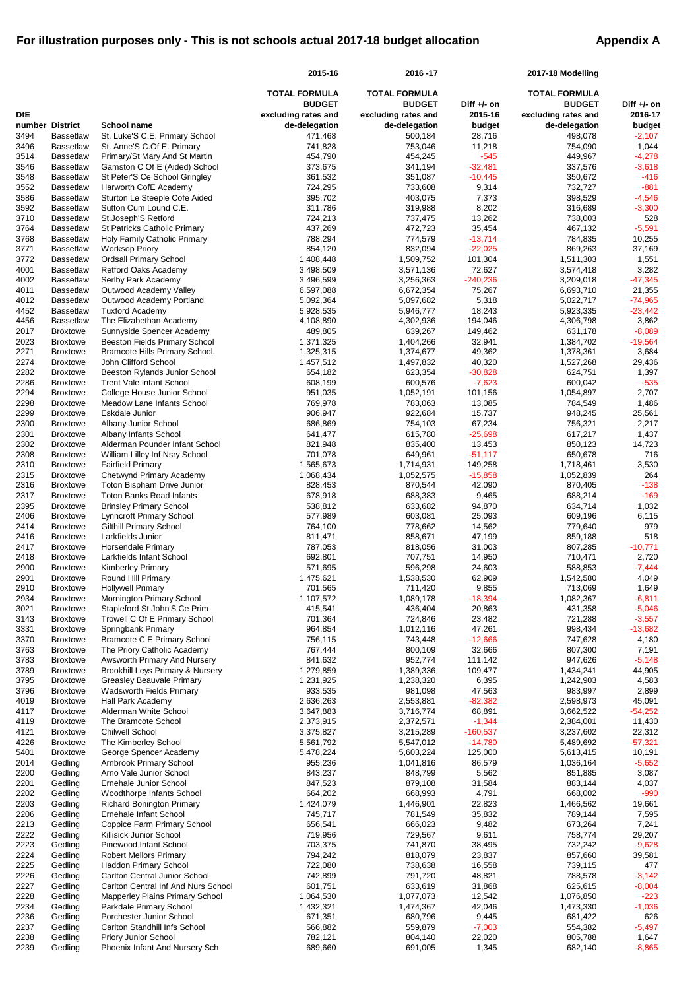|                |                                      |                                                                               | 2015-16                  | 2016-17                  |                     | 2017-18 Modelling        |                       |
|----------------|--------------------------------------|-------------------------------------------------------------------------------|--------------------------|--------------------------|---------------------|--------------------------|-----------------------|
|                |                                      |                                                                               | <b>TOTAL FORMULA</b>     | <b>TOTAL FORMULA</b>     |                     | <b>TOTAL FORMULA</b>     |                       |
|                |                                      |                                                                               | <b>BUDGET</b>            | <b>BUDGET</b>            | Diff $+/-$ on       | <b>BUDGET</b>            | Diff +/- on           |
| <b>DfE</b>     |                                      |                                                                               | excluding rates and      | excluding rates and      | 2015-16             | excluding rates and      | 2016-17               |
| number<br>3494 | <b>District</b><br><b>Bassetlaw</b>  | <b>School name</b><br>St. Luke'S C.E. Primary School                          | de-delegation<br>471,468 | de-delegation<br>500,184 | budget<br>28,716    | de-delegation<br>498,078 | budget<br>$-2,107$    |
| 3496           | <b>Bassetlaw</b>                     | St. Anne'S C.Of E. Primary                                                    | 741,828                  | 753,046                  | 11,218              | 754,090                  | 1,044                 |
| 3514           | <b>Bassetlaw</b>                     | Primary/St Mary And St Martin                                                 | 454,790                  | 454,245                  | $-545$              | 449,967                  | $-4,278$              |
| 3546           | <b>Bassetlaw</b>                     | Gamston C Of E (Aided) School                                                 | 373,675                  | 341,194                  | $-32,481$           | 337,576                  | $-3,618$              |
| 3548           | <b>Bassetlaw</b>                     | St Peter'S Ce School Gringley                                                 | 361,532                  | 351,087                  | $-10,445$           | 350,672                  | $-416$                |
| 3552<br>3586   | <b>Bassetlaw</b><br><b>Bassetlaw</b> | Harworth CofE Academy<br>Sturton Le Steeple Cofe Aided                        | 724,295<br>395,702       | 733,608<br>403,075       | 9,314<br>7,373      | 732,727<br>398,529       | $-881$<br>$-4,546$    |
| 3592           | <b>Bassetlaw</b>                     | Sutton Cum Lound C.E.                                                         | 311,786                  | 319,988                  | 8,202               | 316,689                  | $-3,300$              |
| 3710           | <b>Bassetlaw</b>                     | St.Joseph'S Retford                                                           | 724,213                  | 737,475                  | 13,262              | 738,003                  | 528                   |
| 3764           | <b>Bassetlaw</b>                     | St Patricks Catholic Primary                                                  | 437,269                  | 472,723                  | 35,454              | 467,132                  | $-5,591$              |
| 3768           | <b>Bassetlaw</b>                     | Holy Family Catholic Primary                                                  | 788,294                  | 774,579                  | $-13,714$           | 784,835                  | 10,255                |
| 3771           | <b>Bassetlaw</b>                     | <b>Worksop Priory</b>                                                         | 854,120                  | 832,094                  | $-22,025$           | 869,263                  | 37,169                |
| 3772<br>4001   | <b>Bassetlaw</b><br><b>Bassetlaw</b> | <b>Ordsall Primary School</b><br>Retford Oaks Academy                         | 1,408,448<br>3,498,509   | 1,509,752<br>3,571,136   | 101,304<br>72,627   | 1,511,303<br>3,574,418   | 1,551<br>3,282        |
| 4002           | Bassetlaw                            | Serlby Park Academy                                                           | 3,496,599                | 3,256,363                | $-240,236$          | 3,209,018                | $-47,345$             |
| 4011           | <b>Bassetlaw</b>                     | Outwood Academy Valley                                                        | 6,597,088                | 6,672,354                | 75,267              | 6,693,710                | 21,355                |
| 4012           | <b>Bassetlaw</b>                     | Outwood Academy Portland                                                      | 5,092,364                | 5,097,682                | 5,318               | 5,022,717                | $-74,965$             |
| 4452           | <b>Bassetlaw</b>                     | <b>Tuxford Academy</b>                                                        | 5,928,535                | 5,946,777                | 18,243              | 5,923,335                | $-23,442$             |
| 4456           | <b>Bassetlaw</b>                     | The Elizabethan Academy                                                       | 4,108,890                | 4,302,936                | 194,046             | 4,306,798                | 3,862                 |
| 2017<br>2023   | <b>Broxtowe</b><br><b>Broxtowe</b>   | Sunnyside Spencer Academy<br><b>Beeston Fields Primary School</b>             | 489,805<br>1,371,325     | 639,267<br>1,404,266     | 149,462<br>32,941   | 631,178<br>1,384,702     | $-8,089$<br>$-19,564$ |
| 2271           | <b>Broxtowe</b>                      | Bramcote Hills Primary School.                                                | 1,325,315                | 1,374,677                | 49,362              | 1,378,361                | 3,684                 |
| 2274           | <b>Broxtowe</b>                      | John Clifford School                                                          | 1,457,512                | 1,497,832                | 40,320              | 1,527,268                | 29,436                |
| 2282           | <b>Broxtowe</b>                      | Beeston Rylands Junior School                                                 | 654,182                  | 623,354                  | $-30,828$           | 624,751                  | 1,397                 |
| 2286           | <b>Broxtowe</b>                      | <b>Trent Vale Infant School</b>                                               | 608,199                  | 600,576                  | $-7,623$            | 600,042                  | $-535$                |
| 2294           | <b>Broxtowe</b>                      | College House Junior School                                                   | 951,035                  | 1,052,191                | 101,156             | 1,054,897                | 2,707                 |
| 2298<br>2299   | <b>Broxtowe</b><br><b>Broxtowe</b>   | Meadow Lane Infants School<br>Eskdale Junior                                  | 769,978<br>906,947       | 783,063<br>922,684       | 13,085<br>15,737    | 784,549<br>948,245       | 1,486<br>25,561       |
| 2300           | <b>Broxtowe</b>                      | Albany Junior School                                                          | 686,869                  | 754,103                  | 67,234              | 756,321                  | 2,217                 |
| 2301           | <b>Broxtowe</b>                      | Albany Infants School                                                         | 641,477                  | 615,780                  | $-25,698$           | 617,217                  | 1,437                 |
| 2302           | <b>Broxtowe</b>                      | Alderman Pounder Infant School                                                | 821,948                  | 835,400                  | 13,453              | 850,123                  | 14,723                |
| 2308           | <b>Broxtowe</b>                      | William Lilley Inf Nsry School                                                | 701,078                  | 649,961                  | $-51,117$           | 650,678                  | 716                   |
| 2310           | <b>Broxtowe</b>                      | <b>Fairfield Primary</b>                                                      | 1,565,673                | 1,714,931                | 149,258             | 1,718,461                | 3,530                 |
| 2315<br>2316   | <b>Broxtowe</b>                      | Chetwynd Primary Academy                                                      | 1,068,434<br>828,453     | 1,052,575<br>870,544     | $-15,858$<br>42,090 | 1,052,839<br>870,405     | 264<br>$-138$         |
| 2317           | <b>Broxtowe</b><br><b>Broxtowe</b>   | Toton Bispham Drive Junior<br><b>Toton Banks Road Infants</b>                 | 678,918                  | 688,383                  | 9,465               | 688,214                  | $-169$                |
| 2395           | <b>Broxtowe</b>                      | <b>Brinsley Primary School</b>                                                | 538,812                  | 633,682                  | 94,870              | 634,714                  | 1,032                 |
| 2406           | <b>Broxtowe</b>                      | <b>Lynncroft Primary School</b>                                               | 577,989                  | 603,081                  | 25,093              | 609,196                  | 6,115                 |
| 2414           | <b>Broxtowe</b>                      | <b>Gilthill Primary School</b>                                                | 764,100                  | 778,662                  | 14,562              | 779,640                  | 979                   |
| 2416           | <b>Broxtowe</b>                      | Larkfields Junior                                                             | 811,471                  | 858,671                  | 47,199              | 859,188                  | 518                   |
| 2417<br>2418   | <b>Broxtowe</b><br><b>Broxtowe</b>   | Horsendale Primary<br>Larkfields Infant School                                | 787,053<br>692,801       | 818,056<br>707,751       | 31,003<br>14,950    | 807,285<br>710,471       | $-10,771$<br>2,720    |
| 2900           | <b>Broxtowe</b>                      | <b>Kimberley Primary</b>                                                      | 571,695                  | 596,298                  | 24,603              | 588,853                  | $-7,444$              |
| 2901           | <b>Broxtowe</b>                      | Round Hill Primary                                                            | 1,475,621                | 1,538,530                | 62,909              | 1,542,580                | 4,049                 |
| 2910           | <b>Broxtowe</b>                      | <b>Hollywell Primary</b>                                                      | 701,565                  | 711,420                  | 9,855               | 713,069                  | 1,649                 |
| 2934           | <b>Broxtowe</b>                      | Mornington Primary School                                                     | 1,107,572                | 1,089,178                | $-18,394$           | 1,082,367                | $-6,811$              |
| 3021           | <b>Broxtowe</b>                      | Stapleford St John'S Ce Prim                                                  | 415,541                  | 436,404                  | 20,863              | 431,358                  | $-5,046$              |
| 3143<br>3331   | <b>Broxtowe</b><br><b>Broxtowe</b>   | Trowell C Of E Primary School<br>Springbank Primary                           | 701,364<br>964,854       | 724,846<br>1,012,116     | 23,482<br>47,261    | 721,288<br>998,434       | $-3,557$<br>$-13,682$ |
| 3370           | <b>Broxtowe</b>                      | <b>Bramcote C E Primary School</b>                                            | 756,115                  | 743,448                  | $-12,666$           | 747,628                  | 4,180                 |
| 3763           | <b>Broxtowe</b>                      | The Priory Catholic Academy                                                   | 767,444                  | 800,109                  | 32,666              | 807,300                  | 7,191                 |
| 3783           | <b>Broxtowe</b>                      | Awsworth Primary And Nursery                                                  | 841,632                  | 952,774                  | 111,142             | 947,626                  | $-5,148$              |
| 3789           | <b>Broxtowe</b>                      | Brookhill Leys Primary & Nursery                                              | 1,279,859                | 1,389,336                | 109,477             | 1,434,241                | 44,905                |
| 3795<br>3796   | <b>Broxtowe</b>                      | <b>Greasley Beauvale Primary</b>                                              | 1,231,925<br>933,535     | 1,238,320<br>981,098     | 6,395<br>47,563     | 1,242,903<br>983,997     | 4,583<br>2,899        |
| 4019           | <b>Broxtowe</b><br><b>Broxtowe</b>   | <b>Wadsworth Fields Primary</b><br>Hall Park Academy                          | 2,636,263                | 2,553,881                | $-82,382$           | 2,598,973                | 45,091                |
| 4117           | <b>Broxtowe</b>                      | Alderman White School                                                         | 3,647,883                | 3,716,774                | 68,891              | 3,662,522                | $-54,252$             |
| 4119           | <b>Broxtowe</b>                      | The Bramcote School                                                           | 2,373,915                | 2,372,571                | $-1,344$            | 2,384,001                | 11,430                |
| 4121           | <b>Broxtowe</b>                      | <b>Chilwell School</b>                                                        | 3,375,827                | 3,215,289                | $-160,537$          | 3,237,602                | 22,312                |
| 4226           | <b>Broxtowe</b>                      | The Kimberley School                                                          | 5,561,792                | 5,547,012                | $-14,780$           | 5,489,692                | $-57,321$             |
| 5401<br>2014   | <b>Broxtowe</b><br>Gedling           | George Spencer Academy<br>Arnbrook Primary School                             | 5,478,224<br>955,236     | 5,603,224<br>1,041,816   | 125,000<br>86,579   | 5,613,415<br>1,036,164   | 10,191<br>$-5,652$    |
| 2200           | Gedling                              | Arno Vale Junior School                                                       | 843,237                  | 848,799                  | 5,562               | 851,885                  | 3,087                 |
| 2201           | Gedling                              | Ernehale Junior School                                                        | 847,523                  | 879,108                  | 31,584              | 883,144                  | 4,037                 |
| 2202           | Gedling                              | Woodthorpe Infants School                                                     | 664,202                  | 668,993                  | 4,791               | 668,002                  | $-990$                |
| 2203           | Gedling                              | <b>Richard Bonington Primary</b>                                              | 1,424,079                | 1,446,901                | 22,823              | 1,466,562                | 19,661                |
| 2206           | Gedling                              | Ernehale Infant School                                                        | 745,717                  | 781,549                  | 35,832              | 789,144                  | 7,595                 |
| 2213<br>2222   | Gedling<br>Gedling                   | Coppice Farm Primary School<br>Killisick Junior School                        | 656,541<br>719,956       | 666,023<br>729,567       | 9,482<br>9,611      | 673,264<br>758,774       | 7,241<br>29,207       |
| 2223           | Gedling                              | Pinewood Infant School                                                        | 703,375                  | 741,870                  | 38,495              | 732,242                  | $-9,628$              |
| 2224           | Gedling                              | <b>Robert Mellors Primary</b>                                                 | 794,242                  | 818,079                  | 23,837              | 857,660                  | 39,581                |
| 2225           | Gedling                              | <b>Haddon Primary School</b>                                                  | 722,080                  | 738,638                  | 16,558              | 739,115                  | 477                   |
| 2226           | Gedling                              | <b>Carlton Central Junior School</b>                                          | 742,899                  | 791,720                  | 48,821              | 788,578                  | $-3,142$              |
| 2227<br>2228   | Gedling                              | Carlton Central Inf And Nurs School<br><b>Mapperley Plains Primary School</b> | 601,751<br>1,064,530     | 633,619<br>1,077,073     | 31,868<br>12,542    | 625,615<br>1,076,850     | $-8,004$<br>$-223$    |
| 2234           | Gedling<br>Gedling                   | Parkdale Primary School                                                       | 1,432,321                | 1,474,367                | 42,046              | 1,473,330                | $-1,036$              |
| 2236           | Gedling                              | Porchester Junior School                                                      | 671,351                  | 680,796                  | 9,445               | 681,422                  | 626                   |
| 2237           | Gedling                              | <b>Carlton Standhill Infs School</b>                                          | 566,882                  | 559,879                  | $-7,003$            | 554,382                  | $-5,497$              |
| 2238           | Gedling                              | <b>Priory Junior School</b>                                                   | 782,121                  | 804,140                  | 22,020              | 805,788                  | 1,647                 |
| 2239           | Gedling                              | Phoenix Infant And Nursery Sch                                                | 689,660                  | 691,005                  | 1,345               | 682,140                  | $-8,865$              |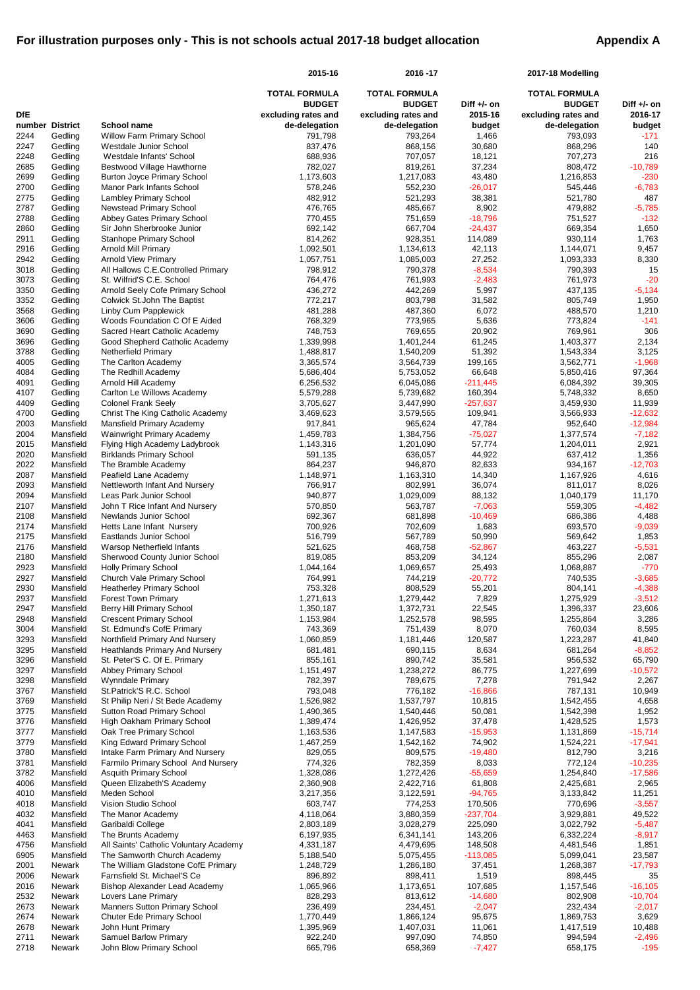|                 |                        |                                                                       | 2015-16                              | 2016-17                              |                        | 2017-18 Modelling                    |                        |
|-----------------|------------------------|-----------------------------------------------------------------------|--------------------------------------|--------------------------------------|------------------------|--------------------------------------|------------------------|
|                 |                        |                                                                       | <b>TOTAL FORMULA</b>                 | <b>TOTAL FORMULA</b>                 |                        | <b>TOTAL FORMULA</b>                 |                        |
| <b>DfE</b>      |                        |                                                                       | <b>BUDGET</b>                        | <b>BUDGET</b>                        | Diff +/- on<br>2015-16 | <b>BUDGET</b>                        | Diff +/- on<br>2016-17 |
| number District |                        | <b>School name</b>                                                    | excluding rates and<br>de-delegation | excluding rates and<br>de-delegation | budget                 | excluding rates and<br>de-delegation | budget                 |
| 2244            | Gedling                | <b>Willow Farm Primary School</b>                                     | 791,798                              | 793,264                              | 1,466                  | 793,093                              | $-171$                 |
| 2247            | Gedling                | Westdale Junior School                                                | 837,476                              | 868,156                              | 30,680                 | 868,296                              | 140                    |
| 2248            | Gedling                | Westdale Infants' School                                              | 688,936                              | 707,057                              | 18,121                 | 707,273                              | 216                    |
| 2685            | Gedling                | Bestwood Village Hawthorne                                            | 782,027                              | 819,261                              | 37,234                 | 808,472                              | $-10,789$              |
| 2699<br>2700    | Gedling<br>Gedling     | <b>Burton Joyce Primary School</b><br>Manor Park Infants School       | 1,173,603<br>578,246                 | 1,217,083<br>552,230                 | 43,480<br>$-26,017$    | 1,216,853<br>545,446                 | $-230$<br>$-6,783$     |
| 2775            | Gedling                | <b>Lambley Primary School</b>                                         | 482,912                              | 521,293                              | 38,381                 | 521,780                              | 487                    |
| 2787            | Gedling                | <b>Newstead Primary School</b>                                        | 476,765                              | 485,667                              | 8,902                  | 479,882                              | $-5,785$               |
| 2788            | Gedling                | Abbey Gates Primary School                                            | 770,455                              | 751,659                              | $-18,796$              | 751,527                              | $-132$                 |
| 2860            | Gedling                | Sir John Sherbrooke Junior                                            | 692,142                              | 667,704                              | $-24,437$              | 669,354                              | 1,650                  |
| 2911            | Gedling                | <b>Stanhope Primary School</b>                                        | 814,262                              | 928,351                              | 114,089                | 930,114                              | 1,763                  |
| 2916<br>2942    | Gedling<br>Gedling     | Arnold Mill Primary<br><b>Arnold View Primary</b>                     | 1,092,501<br>1,057,751               | 1,134,613<br>1,085,003               | 42,113<br>27,252       | 1,144,071<br>1,093,333               | 9,457<br>8,330         |
| 3018            | Gedling                | All Hallows C.E.Controlled Primary                                    | 798,912                              | 790,378                              | $-8,534$               | 790,393                              | 15                     |
| 3073            | Gedling                | St. Wilfrid'S C.E. School                                             | 764,476                              | 761,993                              | $-2,483$               | 761,973                              | $-20$                  |
| 3350            | Gedling                | Arnold Seely Cofe Primary School                                      | 436,272                              | 442,269                              | 5,997                  | 437,135                              | $-5,134$               |
| 3352            | Gedling                | Colwick St.John The Baptist                                           | 772,217                              | 803,798                              | 31,582                 | 805,749                              | 1,950                  |
| 3568<br>3606    | Gedling<br>Gedling     | Linby Cum Papplewick<br>Woods Foundation C Of E Aided                 | 481,288<br>768,329                   | 487,360<br>773,965                   | 6,072<br>5,636         | 488,570<br>773,824                   | 1,210<br>$-141$        |
| 3690            | Gedling                | Sacred Heart Catholic Academy                                         | 748,753                              | 769,655                              | 20,902                 | 769,961                              | 306                    |
| 3696            | Gedling                | Good Shepherd Catholic Academy                                        | 1,339,998                            | 1,401,244                            | 61,245                 | 1,403,377                            | 2,134                  |
| 3788            | Gedling                | <b>Netherfield Primary</b>                                            | 1,488,817                            | 1,540,209                            | 51,392                 | 1,543,334                            | 3,125                  |
| 4005            | Gedling                | The Carlton Academy                                                   | 3,365,574                            | 3,564,739                            | 199,165                | 3,562,771                            | $-1,968$               |
| 4084            | Gedling                | The Redhill Academy                                                   | 5,686,404                            | 5,753,052                            | 66,648                 | 5,850,416                            | 97,364                 |
| 4091            | Gedling                | Arnold Hill Academy                                                   | 6,256,532                            | 6,045,086                            | $-211,445$             | 6,084,392                            | 39,305                 |
| 4107<br>4409    | Gedling<br>Gedling     | Carlton Le Willows Academy<br><b>Colonel Frank Seely</b>              | 5,579,288<br>3,705,627               | 5,739,682<br>3,447,990               | 160,394<br>$-257,637$  | 5,748,332<br>3,459,930               | 8,650<br>11,939        |
| 4700            | Gedling                | Christ The King Catholic Academy                                      | 3,469,623                            | 3,579,565                            | 109,941                | 3,566,933                            | $-12,632$              |
| 2003            | Mansfield              | Mansfield Primary Academy                                             | 917,841                              | 965,624                              | 47,784                 | 952,640                              | $-12,984$              |
| 2004            | Mansfield              | Wainwright Primary Academy                                            | 1,459,783                            | 1,384,756                            | $-75,027$              | 1,377,574                            | $-7,182$               |
| 2015            | Mansfield              | Flying High Academy Ladybrook                                         | 1,143,316                            | 1,201,090                            | 57,774                 | 1,204,011                            | 2,921                  |
| 2020            | Mansfield              | <b>Birklands Primary School</b>                                       | 591,135                              | 636,057                              | 44,922                 | 637,412                              | 1,356                  |
| 2022<br>2087    | Mansfield<br>Mansfield | The Bramble Academy<br>Peafield Lane Academy                          | 864,237<br>1,148,971                 | 946,870<br>1,163,310                 | 82,633<br>14,340       | 934,167<br>1,167,926                 | $-12,703$<br>4,616     |
| 2093            | Mansfield              | Nettleworth Infant And Nursery                                        | 766,917                              | 802,991                              | 36,074                 | 811,017                              | 8,026                  |
| 2094            | Mansfield              | Leas Park Junior School                                               | 940,877                              | 1,029,009                            | 88,132                 | 1,040,179                            | 11,170                 |
| 2107            | Mansfield              | John T Rice Infant And Nursery                                        | 570,850                              | 563,787                              | $-7,063$               | 559,305                              | $-4,482$               |
| 2108            | Mansfield              | Newlands Junior School                                                | 692,367                              | 681,898                              | $-10,469$              | 686,386                              | 4,488                  |
| 2174            | Mansfield              | Hetts Lane Infant Nursery                                             | 700,926                              | 702,609                              | 1,683                  | 693,570                              | $-9,039$               |
| 2175<br>2176    | Mansfield<br>Mansfield | <b>Eastlands Junior School</b><br><b>Warsop Netherfield Infants</b>   | 516,799<br>521,625                   | 567,789<br>468,758                   | 50,990<br>$-52,867$    | 569,642<br>463,227                   | 1,853<br>$-5,531$      |
| 2180            | Mansfield              | Sherwood County Junior School                                         | 819,085                              | 853,209                              | 34,124                 | 855,296                              | 2,087                  |
| 2923            | Mansfield              | <b>Holly Primary School</b>                                           | 1,044,164                            | 1,069,657                            | 25,493                 | 1,068,887                            | $-770$                 |
| 2927            | Mansfield              | Church Vale Primary School                                            | 764,991                              | 744,219                              | $-20,772$              | 740,535                              | $-3,685$               |
| 2930            | Mansfield              | <b>Heatherley Primary School</b>                                      | 753,328                              | 808,529                              | 55,201                 | 804,141                              | $-4,388$               |
| 2937            | Mansfield              | <b>Forest Town Primary</b>                                            | 1,271,613                            | 1,279,442                            | 7,829                  | 1,275,929                            | $-3,512$               |
| 2947<br>2948    | Mansfield<br>Mansfield | <b>Berry Hill Primary School</b><br><b>Crescent Primary School</b>    | 1,350,187<br>1,153,984               | 1,372,731<br>1,252,578               | 22,545<br>98,595       | 1,396,337<br>1,255,864               | 23,606<br>3,286        |
| 3004            | Mansfield              | St. Edmund's CofE Primary                                             | 743,369                              | 751,439                              | 8,070                  | 760,034                              | 8,595                  |
| 3293            | Mansfield              | Northfield Primary And Nursery                                        | 1,060,859                            | 1,181,446                            | 120,587                | 1,223,287                            | 41,840                 |
| 3295            | Mansfield              | <b>Heathlands Primary And Nursery</b>                                 | 681,481                              | 690,115                              | 8,634                  | 681,264                              | $-8,852$               |
| 3296            | Mansfield              | St. Peter'S C. Of E. Primary                                          | 855,161                              | 890,742                              | 35,581                 | 956,532                              | 65,790                 |
| 3297            | Mansfield              | <b>Abbey Primary School</b>                                           | 1,151,497                            | 1,238,272                            | 86,775                 | 1,227,699                            | $-10,572$              |
| 3298<br>3767    | Mansfield<br>Mansfield | Wynndale Primary<br>St.Patrick'S R.C. School                          | 782,397<br>793,048                   | 789,675<br>776,182                   | 7,278<br>$-16,866$     | 791,942<br>787,131                   | 2,267<br>10,949        |
| 3769            | Mansfield              | St Philip Neri / St Bede Academy                                      | 1,526,982                            | 1,537,797                            | 10,815                 | 1,542,455                            | 4,658                  |
| 3775            | Mansfield              | <b>Sutton Road Primary School</b>                                     | 1,490,365                            | 1,540,446                            | 50,081                 | 1,542,398                            | 1,952                  |
| 3776            | Mansfield              | High Oakham Primary School                                            | 1,389,474                            | 1,426,952                            | 37,478                 | 1,428,525                            | 1,573                  |
| 3777            | Mansfield              | Oak Tree Primary School                                               | 1,163,536                            | 1,147,583                            | $-15,953$              | 1,131,869                            | $-15,714$              |
| 3779            | Mansfield              | King Edward Primary School                                            | 1,467,259                            | 1,542,162                            | 74,902                 | 1,524,221                            | $-17,941$              |
| 3780<br>3781    | Mansfield<br>Mansfield | Intake Farm Primary And Nursery<br>Farmilo Primary School And Nursery | 829,055<br>774,326                   | 809,575<br>782,359                   | $-19,480$<br>8,033     | 812,790<br>772,124                   | 3,216<br>$-10,235$     |
| 3782            | Mansfield              | <b>Asquith Primary School</b>                                         | 1,328,086                            | 1,272,426                            | $-55,659$              | 1,254,840                            | $-17,586$              |
| 4006            | Mansfield              | Queen Elizabeth'S Academy                                             | 2,360,908                            | 2,422,716                            | 61,808                 | 2,425,681                            | 2,965                  |
| 4010            | Mansfield              | Meden School                                                          | 3,217,356                            | 3,122,591                            | $-94,765$              | 3,133,842                            | 11,251                 |
| 4018            | Mansfield              | Vision Studio School                                                  | 603,747                              | 774,253                              | 170,506                | 770,696                              | $-3,557$               |
| 4032            | Mansfield              | The Manor Academy                                                     | 4,118,064                            | 3,880,359                            | $-237,704$             | 3,929,881                            | 49,522                 |
| 4041<br>4463    | Mansfield<br>Mansfield | Garibaldi College<br>The Brunts Academy                               | 2,803,189<br>6,197,935               | 3,028,279<br>6,341,141               | 225,090<br>143,206     | 3,022,792<br>6,332,224               | $-5,487$<br>$-8,917$   |
| 4756            | Mansfield              | All Saints' Catholic Voluntary Academy                                | 4,331,187                            | 4,479,695                            | 148,508                | 4,481,546                            | 1,851                  |
| 6905            | Mansfield              | The Samworth Church Academy                                           | 5,188,540                            | 5,075,455                            | $-113,085$             | 5,099,041                            | 23,587                 |
| 2001            | Newark                 | The William Gladstone CofE Primary                                    | 1,248,729                            | 1,286,180                            | 37,451                 | 1,268,387                            | $-17,793$              |
| 2006            | Newark                 | Farnsfield St. Michael'S Ce                                           | 896,892                              | 898,411                              | 1,519                  | 898,445                              | 35                     |
| 2016            | Newark                 | <b>Bishop Alexander Lead Academy</b>                                  | 1,065,966                            | 1,173,651                            | 107,685                | 1,157,546                            | $-16,105$              |
| 2532<br>2673    | Newark<br>Newark       | Lovers Lane Primary<br><b>Manners Sutton Primary School</b>           | 828,293<br>236,499                   | 813,612<br>234,451                   | $-14,680$<br>$-2,047$  | 802,908<br>232,434                   | $-10,704$<br>$-2,017$  |
| 2674            | Newark                 | <b>Chuter Ede Primary School</b>                                      | 1,770,449                            | 1,866,124                            | 95,675                 | 1,869,753                            | 3,629                  |
| 2678            | Newark                 | John Hunt Primary                                                     | 1,395,969                            | 1,407,031                            | 11,061                 | 1,417,519                            | 10,488                 |
| 2711            | Newark                 | <b>Samuel Barlow Primary</b>                                          | 922,240                              | 997,090                              | 74,850                 | 994,594                              | $-2,496$               |
| 2718            | Newark                 | John Blow Primary School                                              | 665,796                              | 658,369                              | $-7,427$               | 658,175                              | $-195$                 |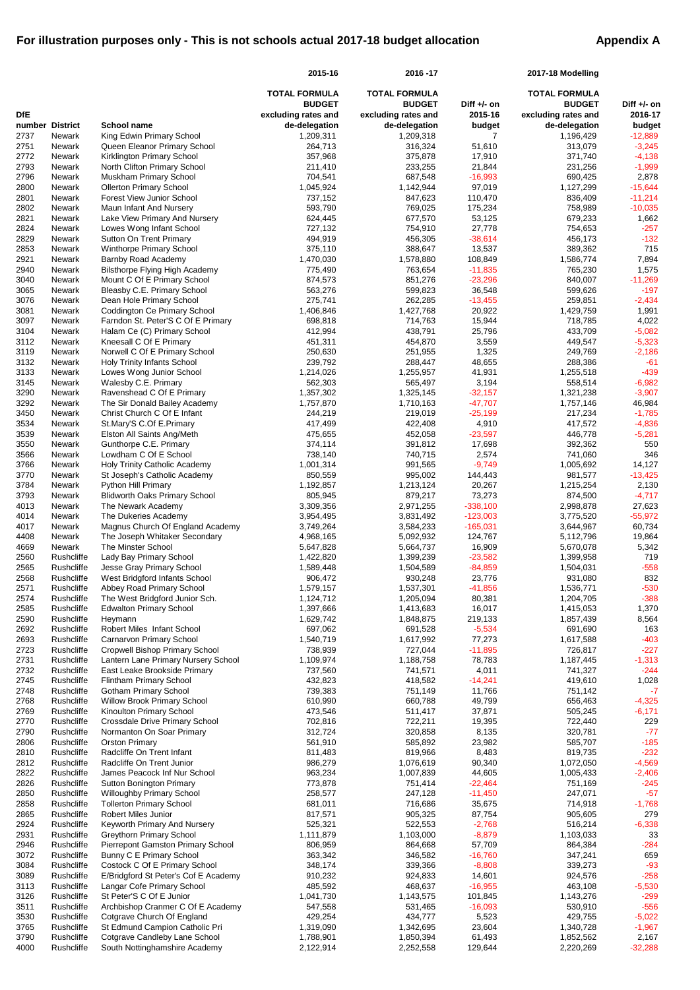|                |                           |                                                                    | 2015-16                    | 2016-17                    |                        | 2017-18 Modelling          |                        |
|----------------|---------------------------|--------------------------------------------------------------------|----------------------------|----------------------------|------------------------|----------------------------|------------------------|
|                |                           |                                                                    | <b>TOTAL FORMULA</b>       | <b>TOTAL FORMULA</b>       |                        | <b>TOTAL FORMULA</b>       |                        |
|                |                           |                                                                    | <b>BUDGET</b>              | <b>BUDGET</b>              | Diff $+/-$ on          | <b>BUDGET</b>              | Diff +/- on            |
| <b>DfE</b>     |                           |                                                                    | excluding rates and        | excluding rates and        | 2015-16                | excluding rates and        | 2016-17                |
| number<br>2737 | <b>District</b><br>Newark | <b>School name</b><br>King Edwin Primary School                    | de-delegation<br>1,209,311 | de-delegation<br>1,209,318 | budget                 | de-delegation<br>1,196,429 | budget<br>$-12,889$    |
| 2751           | Newark                    | Queen Eleanor Primary School                                       | 264,713                    | 316,324                    | 51,610                 | 313,079                    | $-3,245$               |
| 2772           | Newark                    | Kirklington Primary School                                         | 357,968                    | 375,878                    | 17,910                 | 371,740                    | $-4,138$               |
| 2793           | Newark                    | North Clifton Primary School                                       | 211,410                    | 233,255                    | 21,844                 | 231,256                    | $-1,999$               |
| 2796           | Newark                    | Muskham Primary School                                             | 704,541                    | 687,548                    | $-16,993$              | 690,425                    | 2,878                  |
| 2800<br>2801   | Newark<br>Newark          | <b>Ollerton Primary School</b><br><b>Forest View Junior School</b> | 1,045,924<br>737,152       | 1,142,944<br>847,623       | 97,019<br>110,470      | 1,127,299<br>836,409       | $-15,644$<br>$-11,214$ |
| 2802           | Newark                    | Maun Infant And Nursery                                            | 593,790                    | 769,025                    | 175,234                | 758,989                    | $-10,035$              |
| 2821           | Newark                    | Lake View Primary And Nursery                                      | 624,445                    | 677,570                    | 53,125                 | 679,233                    | 1,662                  |
| 2824           | Newark                    | Lowes Wong Infant School                                           | 727,132                    | 754,910                    | 27,778                 | 754,653                    | $-257$                 |
| 2829           | Newark                    | Sutton On Trent Primary                                            | 494,919                    | 456,305                    | $-38,614$              | 456,173                    | $-132$                 |
| 2853<br>2921   | Newark<br>Newark          | Winthorpe Primary School                                           | 375,110<br>1,470,030       | 388,647<br>1,578,880       | 13,537<br>108,849      | 389,362                    | 715<br>7,894           |
| 2940           | Newark                    | Barnby Road Academy<br><b>Bilsthorpe Flying High Academy</b>       | 775,490                    | 763,654                    | $-11,835$              | 1,586,774<br>765,230       | 1,575                  |
| 3040           | Newark                    | Mount C Of E Primary School                                        | 874,573                    | 851,276                    | $-23,296$              | 840,007                    | $-11,269$              |
| 3065           | Newark                    | Bleasby C.E. Primary School                                        | 563,276                    | 599,823                    | 36,548                 | 599,626                    | $-197$                 |
| 3076           | Newark                    | Dean Hole Primary School                                           | 275,741                    | 262,285                    | $-13,455$              | 259,851                    | $-2,434$               |
| 3081           | Newark                    | <b>Coddington Ce Primary School</b>                                | 1,406,846                  | 1,427,768                  | 20,922                 | 1,429,759                  | 1,991                  |
| 3097<br>3104   | Newark<br>Newark          | Farndon St. Peter'S C Of E Primary<br>Halam Ce (C) Primary School  | 698,818<br>412,994         | 714,763<br>438,791         | 15,944<br>25,796       | 718,785<br>433,709         | 4,022<br>$-5,082$      |
| 3112           | Newark                    | Kneesall C Of E Primary                                            | 451,311                    | 454,870                    | 3,559                  | 449,547                    | $-5,323$               |
| 3119           | Newark                    | Norwell C Of E Primary School                                      | 250,630                    | 251,955                    | 1,325                  | 249,769                    | $-2,186$               |
| 3132           | Newark                    | <b>Holy Trinity Infants School</b>                                 | 239,792                    | 288,447                    | 48,655                 | 288,386                    | $-61$                  |
| 3133           | Newark                    | Lowes Wong Junior School                                           | 1,214,026                  | 1,255,957                  | 41,931                 | 1,255,518                  | $-439$                 |
| 3145           | Newark                    | Walesby C.E. Primary                                               | 562,303                    | 565,497                    | 3,194                  | 558,514                    | $-6,982$               |
| 3290           | Newark                    | Ravenshead C Of E Primary                                          | 1,357,302                  | 1,325,145                  | $-32,157$              | 1,321,238                  | $-3,907$               |
| 3292<br>3450   | Newark<br>Newark          | The Sir Donald Bailey Academy<br>Christ Church C Of E Infant       | 1,757,870<br>244,219       | 1,710,163<br>219,019       | $-47,707$<br>$-25,199$ | 1,757,146<br>217,234       | 46,984<br>$-1,785$     |
| 3534           | Newark                    | St.Mary'S C.Of E.Primary                                           | 417,499                    | 422,408                    | 4,910                  | 417,572                    | $-4,836$               |
| 3539           | Newark                    | Elston All Saints Ang/Meth                                         | 475,655                    | 452,058                    | $-23,597$              | 446,778                    | $-5,281$               |
| 3550           | <b>Newark</b>             | Gunthorpe C.E. Primary                                             | 374,114                    | 391,812                    | 17,698                 | 392,362                    | 550                    |
| 3566           | Newark                    | Lowdham C Of E School                                              | 738,140                    | 740,715                    | 2,574                  | 741,060                    | 346                    |
| 3766           | Newark                    | <b>Holy Trinity Catholic Academy</b>                               | 1,001,314                  | 991,565                    | $-9,749$               | 1,005,692                  | 14,127                 |
| 3770<br>3784   | Newark<br>Newark          | St Joseph's Catholic Academy<br>Python Hill Primary                | 850,559<br>1,192,857       | 995,002<br>1,213,124       | 144,443<br>20,267      | 981,577<br>1,215,254       | $-13,425$<br>2,130     |
| 3793           | Newark                    | <b>Blidworth Oaks Primary School</b>                               | 805,945                    | 879,217                    | 73,273                 | 874,500                    | $-4,717$               |
| 4013           | Newark                    | The Newark Academy                                                 | 3,309,356                  | 2,971,255                  | $-338,100$             | 2,998,878                  | 27,623                 |
| 4014           | Newark                    | The Dukeries Academy                                               | 3,954,495                  | 3,831,492                  | $-123,003$             | 3,775,520                  | $-55,972$              |
| 4017           | Newark                    | Magnus Church Of England Academy                                   | 3,749,264                  | 3,584,233                  | $-165,031$             | 3,644,967                  | 60,734                 |
| 4408           | Newark                    | The Joseph Whitaker Secondary                                      | 4,968,165                  | 5,092,932                  | 124,767                | 5,112,796                  | 19,864                 |
| 4669<br>2560   | Newark<br>Rushcliffe      | The Minster School<br>Lady Bay Primary School                      | 5,647,828<br>1,422,820     | 5,664,737<br>1,399,239     | 16,909<br>$-23,582$    | 5,670,078<br>1,399,958     | 5,342<br>719           |
| 2565           | Rushcliffe                | Jesse Gray Primary School                                          | 1,589,448                  | 1,504,589                  | $-84,859$              | 1,504,031                  | $-558$                 |
| 2568           | Rushcliffe                | West Bridgford Infants School                                      | 906,472                    | 930,248                    | 23,776                 | 931,080                    | 832                    |
| 2571           | Rushcliffe                | Abbey Road Primary School                                          | 1,579,157                  | 1,537,301                  | $-41,856$              | 1,536,771                  | $-530$                 |
| 2574           | Rushcliffe                | The West Bridgford Junior Sch.                                     | 1,124,712                  | 1,205,094                  | 80,381                 | 1,204,705                  | $-388$                 |
| 2585           | Rushcliffe                | <b>Edwalton Primary School</b>                                     | 1,397,666                  | 1,413,683                  | 16,017                 | 1,415,053                  | 1,370                  |
| 2590<br>2692   | Rushcliffe<br>Rushcliffe  | Heymann<br>Robert Miles Infant School                              | 1,629,742<br>697,062       | 1,848,875<br>691,528       | 219,133<br>$-5,534$    | 1,857,439<br>691,690       | 8,564<br>163           |
| 2693           | Rushcliffe                | <b>Carnarvon Primary School</b>                                    | 1,540,719                  | 1,617,992                  | 77,273                 | 1,617,588                  | $-403$                 |
| 2723           | Rushcliffe                | <b>Cropwell Bishop Primary School</b>                              | 738,939                    | 727,044                    | $-11,895$              | 726,817                    | $-227$                 |
| 2731           | Rushcliffe                | Lantern Lane Primary Nursery School                                | 1,109,974                  | 1,188,758                  | 78,783                 | 1,187,445                  | $-1,313$               |
| 2732           | Rushcliffe                | East Leake Brookside Primary                                       | 737,560                    | 741,571                    | 4,011                  | 741,327                    | $-244$                 |
| 2745           | Rushcliffe                | Flintham Primary School                                            | 432,823                    | 418,582                    | $-14,241$              | 419,610                    | 1,028                  |
| 2748<br>2768   | Rushcliffe<br>Rushcliffe  | <b>Gotham Primary School</b><br><b>Willow Brook Primary School</b> | 739,383<br>610,990         | 751,149<br>660,788         | 11,766<br>49,799       | 751,142<br>656,463         | $-7$<br>$-4,325$       |
| 2769           | Rushcliffe                | Kinoulton Primary School                                           | 473,546                    | 511,417                    | 37,871                 | 505,245                    | $-6,171$               |
| 2770           | Rushcliffe                | <b>Crossdale Drive Primary School</b>                              | 702,816                    | 722,211                    | 19,395                 | 722,440                    | 229                    |
| 2790           | Rushcliffe                | Normanton On Soar Primary                                          | 312,724                    | 320,858                    | 8,135                  | 320,781                    | $-77$                  |
| 2806           | Rushcliffe                | <b>Orston Primary</b>                                              | 561,910                    | 585,892                    | 23,982                 | 585,707                    | $-185$                 |
| 2810<br>2812   | Rushcliffe                | Radcliffe On Trent Infant<br>Radcliffe On Trent Junior             | 811,483                    | 819,966                    | 8,483                  | 819,735                    | $-232$                 |
| 2822           | Rushcliffe<br>Rushcliffe  | James Peacock Inf Nur School                                       | 986,279<br>963,234         | 1,076,619<br>1,007,839     | 90,340<br>44,605       | 1,072,050<br>1,005,433     | $-4,569$<br>$-2,406$   |
| 2826           | Rushcliffe                | <b>Sutton Bonington Primary</b>                                    | 773,878                    | 751,414                    | $-22,464$              | 751,169                    | $-245$                 |
| 2850           | Rushcliffe                | <b>Willoughby Primary School</b>                                   | 258,577                    | 247,128                    | $-11,450$              | 247,071                    | $-57$                  |
| 2858           | Rushcliffe                | <b>Tollerton Primary School</b>                                    | 681,011                    | 716,686                    | 35,675                 | 714,918                    | $-1,768$               |
| 2865           | Rushcliffe                | Robert Miles Junior                                                | 817,571                    | 905,325                    | 87,754                 | 905,605                    | 279                    |
| 2924<br>2931   | Rushcliffe<br>Rushcliffe  | Keyworth Primary And Nursery<br><b>Greythorn Primary School</b>    | 525,321<br>1,111,879       | 522,553<br>1,103,000       | $-2,768$<br>$-8,879$   | 516,214<br>1,103,033       | $-6,338$<br>33         |
| 2946           | Rushcliffe                | <b>Pierrepont Gamston Primary School</b>                           | 806,959                    | 864,668                    | 57,709                 | 864,384                    | $-284$                 |
| 3072           | Rushcliffe                | <b>Bunny C E Primary School</b>                                    | 363,342                    | 346,582                    | $-16,760$              | 347,241                    | 659                    |
| 3084           | Rushcliffe                | Costock C Of E Primary School                                      | 348,174                    | 339,366                    | $-8,808$               | 339,273                    | $-93$                  |
| 3089           | Rushcliffe                | E/Bridgford St Peter's Cof E Academy                               | 910,232                    | 924,833                    | 14,601                 | 924,576                    | $-258$                 |
| 3113           | Rushcliffe                | Langar Cofe Primary School                                         | 485,592                    | 468,637                    | $-16,955$              | 463,108                    | $-5,530$               |
| 3126<br>3511   | Rushcliffe<br>Rushcliffe  | St Peter'S C Of E Junior<br>Archbishop Cranmer C Of E Academy      | 1,041,730<br>547,558       | 1,143,575<br>531,465       | 101,845<br>$-16,093$   | 1,143,276<br>530,910       | $-299$<br>$-556$       |
| 3530           | Rushcliffe                | Cotgrave Church Of England                                         | 429,254                    | 434,777                    | 5,523                  | 429,755                    | $-5,022$               |
| 3765           | Rushcliffe                | St Edmund Campion Catholic Pri                                     | 1,319,090                  | 1,342,695                  | 23,604                 | 1,340,728                  | $-1,967$               |
| 3790           | Rushcliffe                | Cotgrave Candleby Lane School                                      | 1,788,901                  | 1,850,394                  | 61,493                 | 1,852,562                  | 2,167                  |
| 4000           | Rushcliffe                | South Nottinghamshire Academy                                      | 2,122,914                  | 2,252,558                  | 129,644                | 2,220,269                  | $-32,288$              |